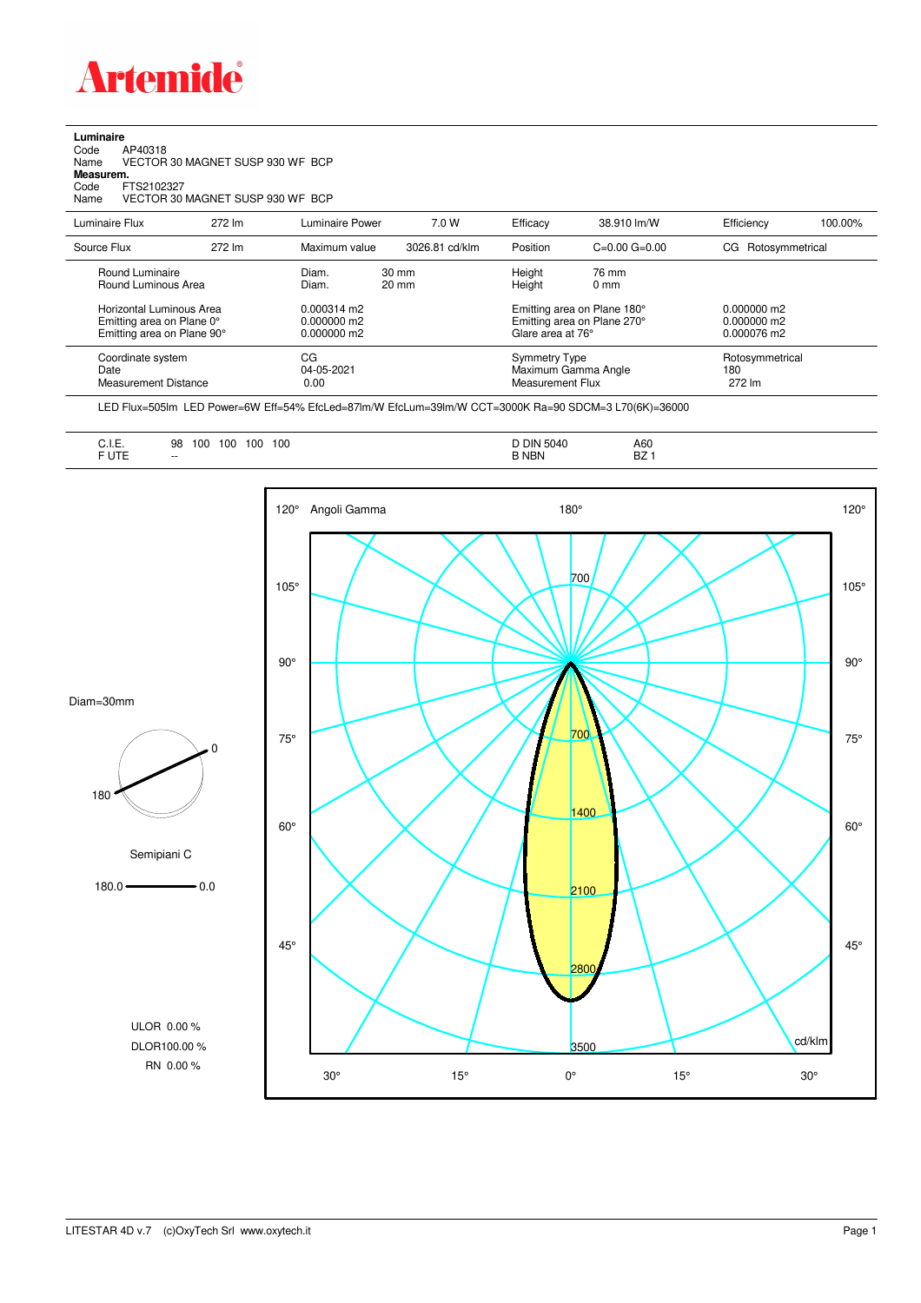

**Luminaire**<br>Code /<br>Name \ Code AP40318 Name VECTOR 30 MAGNET SUSP 930 WF BCP

**Measurem.**

Code FTS2102327 Name VECTOR 30 MAGNET SUSP 930 WF BCP

| Luminaire Flux                                                                                                                | 272 lm | Luminaire Power                                                          | 7.0 W                              | Efficacy                          | 38.910 lm/W                                                                                                | Efficiency                                    | 100.00% |
|-------------------------------------------------------------------------------------------------------------------------------|--------|--------------------------------------------------------------------------|------------------------------------|-----------------------------------|------------------------------------------------------------------------------------------------------------|-----------------------------------------------|---------|
| Source Flux                                                                                                                   | 272 lm | Maximum value                                                            | 3026.81 cd/klm                     | Position                          | $C=0.00$ $G=0.00$                                                                                          | Rotosymmetrical<br>CG.                        |         |
| Round Luminaire<br>Round Luminous Area<br>Horizontal Luminous Area<br>Emitting area on Plane 0°<br>Emitting area on Plane 90° |        | Diam.<br>Diam.<br>$0.000314 \text{ m}$<br>$0.000000$ m2<br>$0.000000$ m2 | $30 \text{ mm}$<br>$20 \text{ mm}$ |                                   | 76 mm<br>$0 \text{ mm}$<br>Emitting area on Plane 180°<br>Emitting area on Plane 270°<br>Glare area at 76° | $0.000000$ m2<br>$0.000000$ m2<br>0.000076 m2 |         |
| Coordinate system<br>Date<br>Measurement Distance                                                                             |        | CG<br>04-05-2021<br>0.00                                                 |                                    | Symmetry Type<br>Measurement Flux | Maximum Gamma Angle                                                                                        | Rotosymmetrical<br>180<br>272 lm              |         |

LED Flux=505lm LED Power=6W Eff=54% EfcLed=87lm/W EfcLum=39lm/W CCT=3000K Ra=90 SDCM=3 L70(6K)=36000